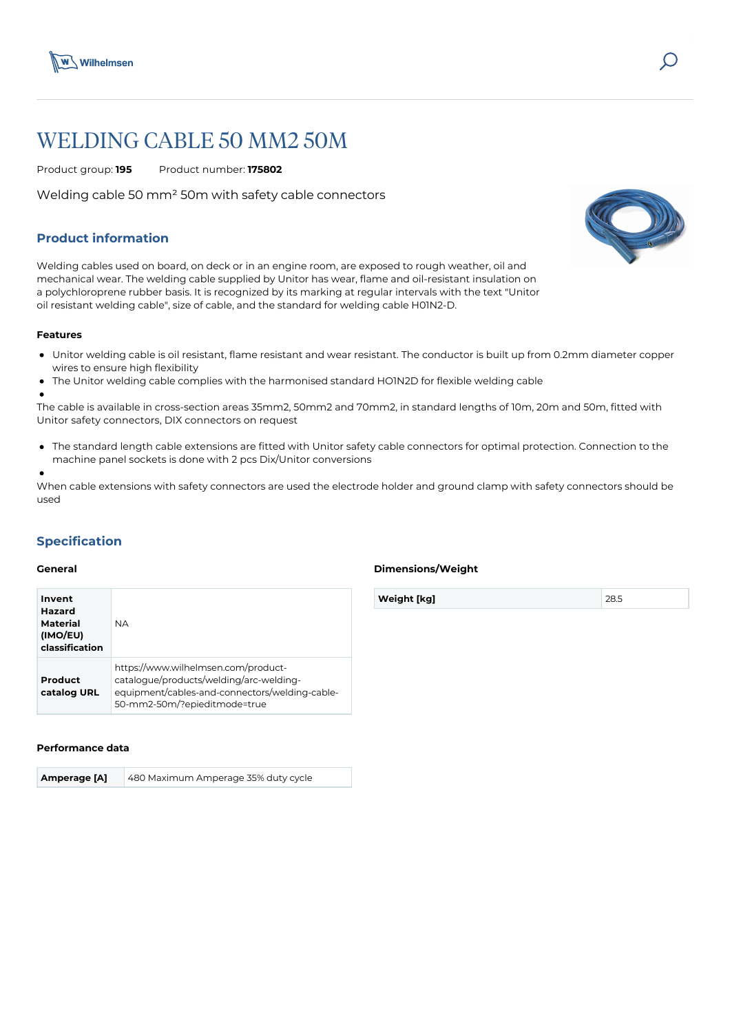

# WELDING CABLE 50 MM2 50M

Product group: **195** Product number: **175802**

Welding cable 50 mm² 50m with safety cable connectors

# **Product information**

Welding cables used on board, on deck or in an engine room, are exposed to rough weather, oil and mechanical wear. The welding cable supplied by Unitor has wear, flame and oil-resistant insulation on a polychloroprene rubber basis. It is recognized by its marking at regular intervals with the text "Unitor oil resistant welding cable", size of cable, and the standard for welding cable H01N2-D.

### **Features**

- Unitor welding cable is oil resistant, flame resistant and wear resistant. The conductor is built up from 0.2mm diameter copper wires to ensure high flexibility
- The Unitor welding cable complies with the harmonised standard HO1N2D for flexible welding cable  $\epsilon$

The cable is available in cross-section areas 35mm2, 50mm2 and 70mm2, in standard lengths of 10m, 20m and 50m, fitted with Unitor safety connectors, DIX connectors on request

The standard length cable extensions are fitted with Unitor safety cable connectors for optimal protection. Connection to the machine panel sockets is done with 2 pcs Dix/Unitor conversions

When cable extensions with safety connectors are used the electrode holder and ground clamp with safety connectors should be used

## **Specification**

#### **General**

| Invent<br>Hazard<br><b>Material</b><br>(IMO/EU)<br>classification | <b>NA</b>                                                                                                                                                        |
|-------------------------------------------------------------------|------------------------------------------------------------------------------------------------------------------------------------------------------------------|
| Product<br>catalog URL                                            | https://www.wilhelmsen.com/product-<br>catalogue/products/welding/arc-welding-<br>equipment/cables-and-connectors/welding-cable-<br>50-mm2-50m/?epieditmode=true |

#### **Performance data**

**Amperage [A]** 480 Maximum Amperage 35% duty cycle

### **Dimensions/Weight**

**Weight [kg]** 28.5